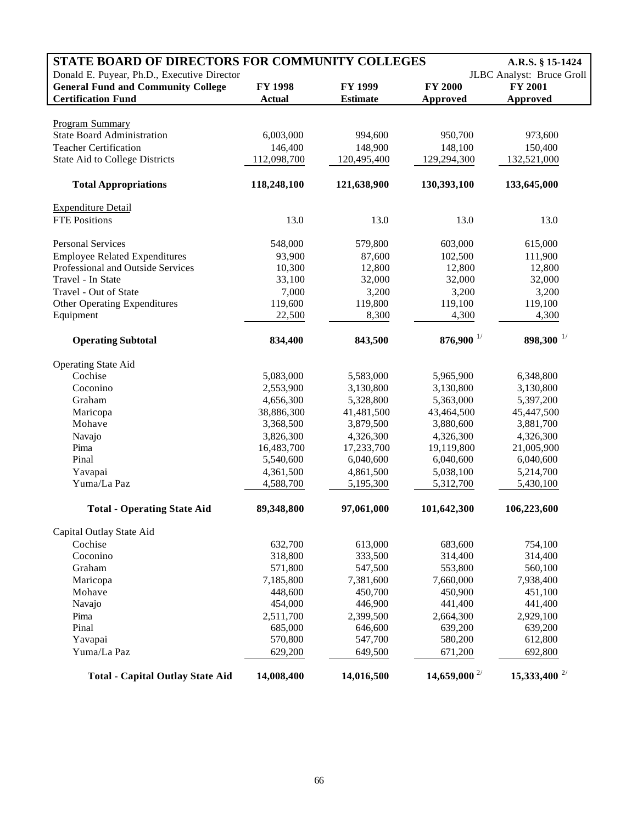| STATE BOARD OF DIRECTORS FOR COMMUNITY COLLEGES<br>A.R.S. § 15-1424       |                  |                  |                            |                           |  |  |
|---------------------------------------------------------------------------|------------------|------------------|----------------------------|---------------------------|--|--|
| Donald E. Puyear, Ph.D., Executive Director                               |                  |                  |                            | JLBC Analyst: Bruce Groll |  |  |
| <b>General Fund and Community College</b>                                 | <b>FY 1998</b>   | FY 1999          | <b>FY 2000</b>             | <b>FY 2001</b>            |  |  |
| <b>Certification Fund</b>                                                 | <b>Actual</b>    | <b>Estimate</b>  | Approved                   | <b>Approved</b>           |  |  |
|                                                                           |                  |                  |                            |                           |  |  |
| <b>Program Summary</b>                                                    |                  |                  |                            |                           |  |  |
| <b>State Board Administration</b>                                         | 6,003,000        | 994,600          | 950,700                    | 973,600                   |  |  |
| <b>Teacher Certification</b>                                              | 146,400          | 148,900          | 148,100                    | 150,400                   |  |  |
| <b>State Aid to College Districts</b>                                     | 112,098,700      | 120,495,400      | 129,294,300                | 132,521,000               |  |  |
| <b>Total Appropriations</b>                                               | 118,248,100      | 121,638,900      | 130,393,100                | 133,645,000               |  |  |
| <b>Expenditure Detail</b>                                                 |                  |                  |                            |                           |  |  |
| <b>FTE Positions</b>                                                      | 13.0             | 13.0             | 13.0                       | 13.0                      |  |  |
| Personal Services                                                         | 548,000          | 579,800          | 603,000                    | 615,000                   |  |  |
|                                                                           |                  |                  | 102,500                    | 111,900                   |  |  |
| <b>Employee Related Expenditures</b><br>Professional and Outside Services | 93,900<br>10,300 | 87,600<br>12,800 | 12,800                     | 12,800                    |  |  |
| Travel - In State                                                         |                  | 32,000           |                            | 32,000                    |  |  |
| Travel - Out of State                                                     | 33,100           |                  | 32,000                     |                           |  |  |
|                                                                           | 7,000            | 3,200            | 3,200                      | 3,200                     |  |  |
| <b>Other Operating Expenditures</b>                                       | 119,600          | 119,800          | 119,100                    | 119,100                   |  |  |
| Equipment                                                                 | 22,500           | 8,300            | 4,300                      | 4,300                     |  |  |
| <b>Operating Subtotal</b>                                                 | 834,400          | 843,500          | $876,900$ <sup>1/</sup>    | 898,300 $^{1/}$           |  |  |
| <b>Operating State Aid</b>                                                |                  |                  |                            |                           |  |  |
| Cochise                                                                   | 5,083,000        | 5,583,000        | 5,965,900                  | 6,348,800                 |  |  |
| Coconino                                                                  | 2,553,900        | 3,130,800        | 3,130,800                  | 3,130,800                 |  |  |
| Graham                                                                    | 4,656,300        | 5,328,800        | 5,363,000                  | 5,397,200                 |  |  |
| Maricopa                                                                  | 38,886,300       | 41,481,500       | 43,464,500                 | 45,447,500                |  |  |
| Mohave                                                                    | 3,368,500        | 3,879,500        | 3,880,600                  | 3,881,700                 |  |  |
| Navajo                                                                    | 3,826,300        | 4,326,300        | 4,326,300                  | 4,326,300                 |  |  |
| Pima                                                                      | 16,483,700       | 17,233,700       | 19,119,800                 | 21,005,900                |  |  |
| Pinal                                                                     | 5,540,600        | 6,040,600        | 6,040,600                  | 6,040,600                 |  |  |
| Yavapai                                                                   | 4,361,500        | 4,861,500        | 5,038,100                  | 5,214,700                 |  |  |
| Yuma/La Paz                                                               | 4,588,700        | 5,195,300        | 5,312,700                  | 5,430,100                 |  |  |
| <b>Total - Operating State Aid</b>                                        | 89,348,800       | 97,061,000       | 101,642,300                | 106,223,600               |  |  |
| Capital Outlay State Aid                                                  |                  |                  |                            |                           |  |  |
| Cochise                                                                   | 632,700          | 613,000          | 683,600                    | 754,100                   |  |  |
| Coconino                                                                  | 318,800          | 333,500          | 314,400                    | 314,400                   |  |  |
| Graham                                                                    | 571,800          | 547,500          | 553,800                    | 560,100                   |  |  |
| Maricopa                                                                  | 7,185,800        | 7,381,600        | 7,660,000                  | 7,938,400                 |  |  |
| Mohave                                                                    | 448,600          | 450,700          | 450,900                    | 451,100                   |  |  |
| Navajo                                                                    | 454,000          | 446,900          | 441,400                    | 441,400                   |  |  |
| Pima                                                                      | 2,511,700        | 2,399,500        | 2,664,300                  | 2,929,100                 |  |  |
| Pinal                                                                     | 685,000          | 646,600          | 639,200                    | 639,200                   |  |  |
| Yavapai                                                                   | 570,800          | 547,700          | 580,200                    | 612,800                   |  |  |
| Yuma/La Paz                                                               | 629,200          | 649,500          | 671,200                    | 692,800                   |  |  |
|                                                                           |                  |                  |                            |                           |  |  |
| <b>Total - Capital Outlay State Aid</b>                                   | 14,008,400       | 14,016,500       | $14,659,000$ <sup>2/</sup> | 15,333,400 $^{2/}$        |  |  |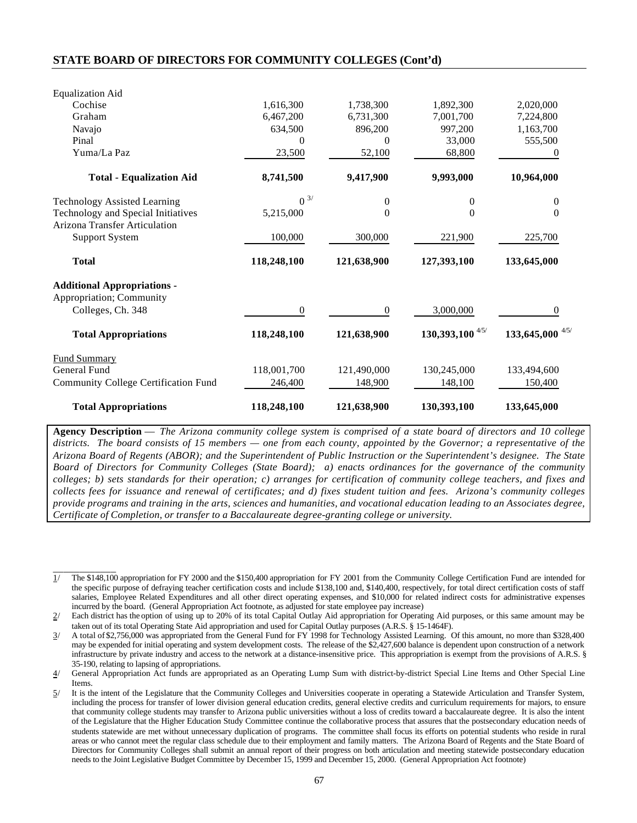## **STATE BOARD OF DIRECTORS FOR COMMUNITY COLLEGES (Cont'd)**

| <b>Equalization Aid</b>                                                    |              |                  |                  |                  |
|----------------------------------------------------------------------------|--------------|------------------|------------------|------------------|
| Cochise                                                                    | 1,616,300    | 1,738,300        | 1,892,300        | 2,020,000        |
| Graham                                                                     | 6,467,200    | 6,731,300        | 7,001,700        | 7,224,800        |
| Navajo                                                                     | 634,500      | 896,200          | 997,200          | 1,163,700        |
| Pinal                                                                      | 0            | $\Omega$         | 33,000           | 555,500          |
| Yuma/La Paz                                                                | 23,500       | 52,100           | 68,800           | $\theta$         |
| <b>Total - Equalization Aid</b>                                            | 8,741,500    | 9,417,900        | 9,993,000        | 10,964,000       |
| <b>Technology Assisted Learning</b>                                        | $0^{3/2}$    | $\boldsymbol{0}$ | $\mathbf{0}$     | $\boldsymbol{0}$ |
| Technology and Special Initiatives<br><b>Arizona Transfer Articulation</b> | 5,215,000    | $\boldsymbol{0}$ | $\overline{0}$   | $\overline{0}$   |
| <b>Support System</b>                                                      | 100,000      | 300,000          | 221,900          | 225,700          |
| <b>Total</b>                                                               | 118,248,100  | 121,638,900      | 127,393,100      | 133,645,000      |
| <b>Additional Appropriations -</b>                                         |              |                  |                  |                  |
| Appropriation; Community                                                   |              |                  |                  |                  |
| Colleges, Ch. 348                                                          | $\mathbf{0}$ | $\boldsymbol{0}$ | 3,000,000        | $\theta$         |
| <b>Total Appropriations</b>                                                | 118,248,100  | 121,638,900      | 130,393,100 4/5/ | 133,645,000 4/5/ |
| <b>Fund Summary</b>                                                        |              |                  |                  |                  |
| General Fund                                                               | 118,001,700  | 121,490,000      | 130,245,000      | 133,494,600      |
| Community College Certification Fund                                       | 246,400      | 148,900          | 148,100          | 150,400          |
| <b>Total Appropriations</b>                                                | 118,248,100  | 121,638,900      | 130,393,100      | 133,645,000      |

**Agency Description** — *The Arizona community college system is comprised of a state board of directors and 10 college districts. The board consists of 15 members — one from each county, appointed by the Governor; a representative of the Arizona Board of Regents (ABOR); and the Superintendent of Public Instruction or the Superintendent's designee. The State Board of Directors for Community Colleges (State Board); a) enacts ordinances for the governance of the community colleges; b) sets standards for their operation; c) arranges for certification of community college teachers, and fixes and collects fees for issuance and renewal of certificates; and d) fixes student tuition and fees. Arizona's community colleges provide programs and training in the arts, sciences and humanities, and vocational education leading to an Associates degree, Certificate of Completion, or transfer to a Baccalaureate degree-granting college or university.*

\_\_\_\_\_\_\_\_\_\_\_\_ 1/ The \$148,100 appropriation for FY 2000 and the \$150,400 appropriation for FY 2001 from the Community College Certification Fund are intended for the specific purpose of defraying teacher certification costs and include \$138,100 and, \$140,400, respectively, for total direct certification costs of staff salaries, Employee Related Expenditures and all other direct operating expenses, and \$10,000 for related indirect costs for administrative expenses incurred by the board. (General Appropriation Act footnote, as adjusted for state employee pay increase)

<sup>2/</sup> Each district has the option of using up to 20% of its total Capital Outlay Aid appropriation for Operating Aid purposes, or this same amount may be taken out of its total Operating State Aid appropriation and used for Capital Outlay purposes (A.R.S. § 15-1464F).

<sup>3/</sup> A total of \$2,756,000 was appropriated from the General Fund for FY 1998 for Technology Assisted Learning. Of this amount, no more than \$328,400 may be expended for initial operating and system development costs. The release of the \$2,427,600 balance is dependent upon construction of a network infrastructure by private industry and access to the network at a distance-insensitive price. This appropriation is exempt from the provisions of A.R.S. § 35-190, relating to lapsing of appropriations.

<sup>4/</sup> General Appropriation Act funds are appropriated as an Operating Lump Sum with district-by-district Special Line Items and Other Special Line Items.

<sup>5/</sup> It is the intent of the Legislature that the Community Colleges and Universities cooperate in operating a Statewide Articulation and Transfer System, including the process for transfer of lower division general education credits, general elective credits and curriculum requirements for majors, to ensure that community college students may transfer to Arizona public universities without a loss of credits toward a baccalaureate degree. It is also the intent of the Legislature that the Higher Education Study Committee continue the collaborative process that assures that the postsecondary education needs of students statewide are met without unnecessary duplication of programs. The committee shall focus its efforts on potential students who reside in rural areas or who cannot meet the regular class schedule due to their employment and family matters. The Arizona Board of Regents and the State Board of Directors for Community Colleges shall submit an annual report of their progress on both articulation and meeting statewide postsecondary education needs to the Joint Legislative Budget Committee by December 15, 1999 and December 15, 2000. (General Appropriation Act footnote)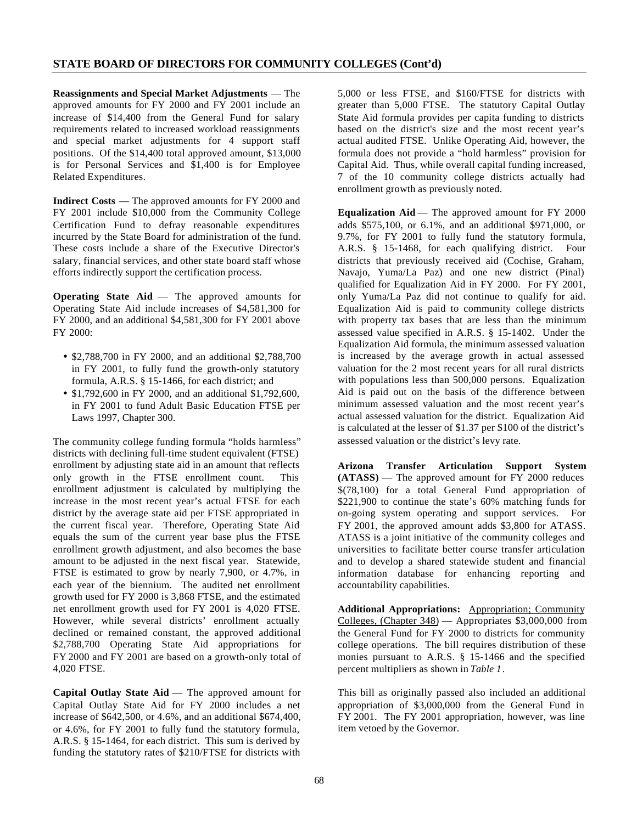**Reassignments and Special Market Adjustments** — The approved amounts for FY 2000 and FY 2001 include an increase of \$14,400 from the General Fund for salary requirements related to increased workload reassignments and special market adjustments for 4 support staff positions. Of the \$14,400 total approved amount, \$13,000 is for Personal Services and \$1,400 is for Employee Related Expenditures.

**Indirect Costs** — The approved amounts for FY 2000 and FY 2001 include \$10,000 from the Community College Certification Fund to defray reasonable expenditures incurred by the State Board for administration of the fund. These costs include a share of the Executive Director's salary, financial services, and other state board staff whose efforts indirectly support the certification process.

**Operating State Aid** — The approved amounts for Operating State Aid include increases of \$4,581,300 for FY 2000, and an additional \$4,581,300 for FY 2001 above FY 2000:

- \$2,788,700 in FY 2000, and an additional \$2,788,700 in FY 2001, to fully fund the growth-only statutory formula, A.R.S. § 15-1466, for each district; and
- \$1,792,600 in FY 2000, and an additional \$1,792,600, in FY 2001 to fund Adult Basic Education FTSE per Laws 1997, Chapter 300.

The community college funding formula "holds harmless" districts with declining full-time student equivalent (FTSE) enrollment by adjusting state aid in an amount that reflects only growth in the FTSE enrollment count. This enrollment adjustment is calculated by multiplying the increase in the most recent year's actual FTSE for each district by the average state aid per FTSE appropriated in the current fiscal year. Therefore, Operating State Aid equals the sum of the current year base plus the FTSE enrollment growth adjustment, and also becomes the base amount to be adjusted in the next fiscal year. Statewide, FTSE is estimated to grow by nearly 7,900, or 4.7%, in each year of the biennium. The audited net enrollment growth used for FY 2000 is 3,868 FTSE, and the estimated net enrollment growth used for FY 2001 is 4,020 FTSE. However, while several districts' enrollment actually declined or remained constant, the approved additional \$2,788,700 Operating State Aid appropriations for FY 2000 and FY 2001 are based on a growth-only total of 4,020 FTSE.

**Capital Outlay State Aid** — The approved amount for Capital Outlay State Aid for FY 2000 includes a net increase of \$642,500, or 4.6%, and an additional \$674,400, or 4.6%, for FY 2001 to fully fund the statutory formula, A.R.S. § 15-1464, for each district. This sum is derived by funding the statutory rates of \$210/FTSE for districts with

5,000 or less FTSE, and \$160/FTSE for districts with greater than 5,000 FTSE. The statutory Capital Outlay State Aid formula provides per capita funding to districts based on the district's size and the most recent year's actual audited FTSE. Unlike Operating Aid, however, the formula does not provide a "hold harmless" provision for Capital Aid. Thus, while overall capital funding increased, 7 of the 10 community college districts actually had enrollment growth as previously noted.

**Equalization Aid** — The approved amount for FY 2000 adds \$575,100, or 6.1%, and an additional \$971,000, or 9.7%, for FY 2001 to fully fund the statutory formula, A.R.S. § 15-1468, for each qualifying district. Four districts that previously received aid (Cochise, Graham, Navajo, Yuma/La Paz) and one new district (Pinal) qualified for Equalization Aid in FY 2000. For FY 2001, only Yuma/La Paz did not continue to qualify for aid. Equalization Aid is paid to community college districts with property tax bases that are less than the minimum assessed value specified in A.R.S. § 15-1402. Under the Equalization Aid formula, the minimum assessed valuation is increased by the average growth in actual assessed valuation for the 2 most recent years for all rural districts with populations less than 500,000 persons. Equalization Aid is paid out on the basis of the difference between minimum assessed valuation and the most recent year's actual assessed valuation for the district. Equalization Aid is calculated at the lesser of \$1.37 per \$100 of the district's assessed valuation or the district's levy rate.

**Arizona Transfer Articulation Support System (ATASS)** — The approved amount for FY 2000 reduces \$(78,100) for a total General Fund appropriation of \$221,900 to continue the state's 60% matching funds for on-going system operating and support services. For FY 2001, the approved amount adds \$3,800 for ATASS. ATASS is a joint initiative of the community colleges and universities to facilitate better course transfer articulation and to develop a shared statewide student and financial information database for enhancing reporting and accountability capabilities.

**Additional Appropriations:** Appropriation; Community Colleges, (Chapter 348) — Appropriates \$3,000,000 from the General Fund for FY 2000 to districts for community college operations. The bill requires distribution of these monies pursuant to A.R.S. § 15-1466 and the specified percent multipliers as shown in *Table 1*.

This bill as originally passed also included an additional appropriation of \$3,000,000 from the General Fund in FY 2001. The FY 2001 appropriation, however, was line item vetoed by the Governor.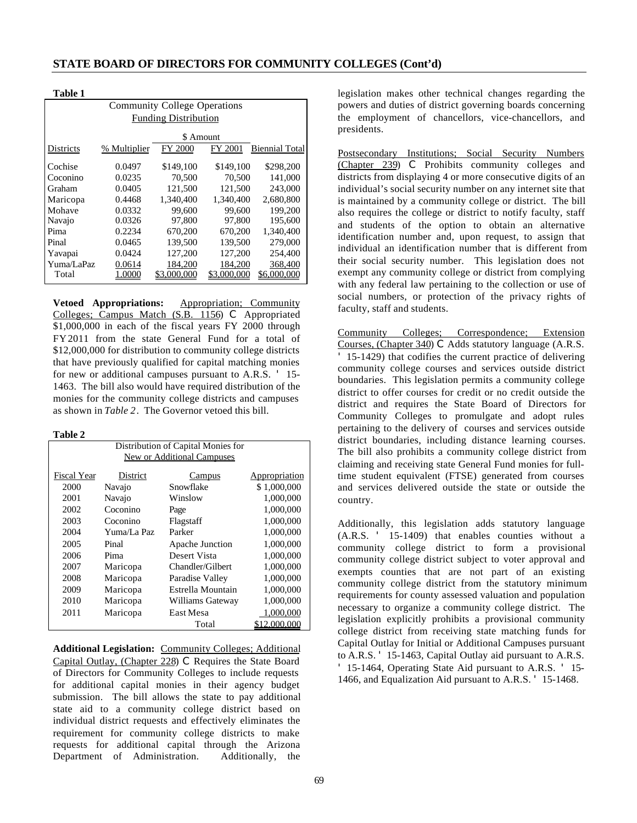| тане г                              |              |                |             |                       |  |  |  |
|-------------------------------------|--------------|----------------|-------------|-----------------------|--|--|--|
| <b>Community College Operations</b> |              |                |             |                       |  |  |  |
| <b>Funding Distribution</b>         |              |                |             |                       |  |  |  |
|                                     |              | \$ Amount      |             |                       |  |  |  |
| Districts                           | % Multiplier | <b>FY 2000</b> | FY 2001     | <b>Biennial Total</b> |  |  |  |
| Cochise                             | 0.0497       | \$149,100      | \$149,100   | \$298,200             |  |  |  |
| Coconino                            | 0.0235       | 70.500         | 70,500      | 141,000               |  |  |  |
| Graham                              | 0.0405       | 121,500        | 121,500     | 243,000               |  |  |  |
| Maricopa                            | 0.4468       | 1.340,400      | 1.340.400   | 2.680.800             |  |  |  |
| Mohave                              | 0.0332       | 99.600         | 99.600      | 199,200               |  |  |  |
| Navajo                              | 0.0326       | 97.800         | 97,800      | 195,600               |  |  |  |
| Pima                                | 0.2234       | 670,200        | 670,200     | 1.340.400             |  |  |  |
| Pinal                               | 0.0465       | 139,500        | 139,500     | 279,000               |  |  |  |
| Yavapai                             | 0.0424       | 127,200        | 127,200     | 254,400               |  |  |  |
| Yuma/LaPaz                          | 0.0614       | 184,200        | 184,200     | 368,400               |  |  |  |
| Total                               | 0000         | \$3.000.000    | \$3.000.000 | \$6.000.000           |  |  |  |

**Vetoed Appropriations:** Appropriation; Community Colleges; Campus Match (S.B. 1156) C Appropriated \$1,000,000 in each of the fiscal years FY 2000 through FY 2011 from the state General Fund for a total of \$12,000,000 for distribution to community college districts that have previously qualified for capital matching monies for new or additional campuses pursuant to A.R.S. ' 15- 1463. The bill also would have required distribution of the monies for the community college districts and campuses as shown in *Table 2*. The Governor vetoed this bill.

## **Table 2**

**Table 1**

| Distribution of Capital Monies for |             |                   |               |  |  |  |  |
|------------------------------------|-------------|-------------------|---------------|--|--|--|--|
| New or Additional Campuses         |             |                   |               |  |  |  |  |
|                                    |             |                   |               |  |  |  |  |
| Fiscal Year                        | District    | Campus            | Appropriation |  |  |  |  |
| 2000                               | Navajo      | Snowflake         | \$1,000,000   |  |  |  |  |
| 2001                               | Navajo      | Winslow           | 1,000,000     |  |  |  |  |
| 2002                               | Coconino    | Page              | 1,000,000     |  |  |  |  |
| 2003                               | Coconino    | Flagstaff         | 1,000,000     |  |  |  |  |
| 2004                               | Yuma/La Paz | Parker            | 1,000,000     |  |  |  |  |
| 2005                               | Pinal       | Apache Junction   | 1,000,000     |  |  |  |  |
| 2006                               | Pima        | Desert Vista      | 1,000,000     |  |  |  |  |
| 2007                               | Maricopa    | Chandler/Gilbert  | 1,000,000     |  |  |  |  |
| 2008                               | Maricopa    | Paradise Valley   | 1,000,000     |  |  |  |  |
| 2009                               | Maricopa    | Estrella Mountain | 1,000,000     |  |  |  |  |
| 2010                               | Maricopa    | Williams Gateway  | 1,000,000     |  |  |  |  |
| 2011                               | Maricopa    | East Mesa         | 1,000,000     |  |  |  |  |
| Total<br>2,000,000                 |             |                   |               |  |  |  |  |

**Additional Legislation:** Community Colleges; Additional Capital Outlay, (Chapter 228) C Requires the State Board of Directors for Community Colleges to include requests for additional capital monies in their agency budget submission. The bill allows the state to pay additional state aid to a community college district based on individual district requests and effectively eliminates the requirement for community college districts to make requests for additional capital through the Arizona Department of Administration. Additionally, the

legislation makes other technical changes regarding the powers and duties of district governing boards concerning the employment of chancellors, vice-chancellors, and presidents.

Postsecondary Institutions; Social Security Numbers (Chapter 239) C Prohibits community colleges and districts from displaying 4 or more consecutive digits of an individual's social security number on any internet site that is maintained by a community college or district. The bill also requires the college or district to notify faculty, staff and students of the option to obtain an alternative identification number and, upon request, to assign that individual an identification number that is different from their social security number. This legislation does not exempt any community college or district from complying with any federal law pertaining to the collection or use of social numbers, or protection of the privacy rights of faculty, staff and students.

Community Colleges; Correspondence; Extension Courses, (Chapter 340) C Adds statutory language (A.R.S. ' 15-1429) that codifies the current practice of delivering community college courses and services outside district boundaries. This legislation permits a community college district to offer courses for credit or no credit outside the district and requires the State Board of Directors for Community Colleges to promulgate and adopt rules pertaining to the delivery of courses and services outside district boundaries, including distance learning courses. The bill also prohibits a community college district from claiming and receiving state General Fund monies for fulltime student equivalent (FTSE) generated from courses and services delivered outside the state or outside the country.

Additionally, this legislation adds statutory language (A.R.S. ' 15-1409) that enables counties without a community college district to form a provisional community college district subject to voter approval and exempts counties that are not part of an existing community college district from the statutory minimum requirements for county assessed valuation and population necessary to organize a community college district. The legislation explicitly prohibits a provisional community college district from receiving state matching funds for Capital Outlay for Initial or Additional Campuses pursuant to A.R.S. ' 15-1463, Capital Outlay aid pursuant to A.R.S. ' 15-1464, Operating State Aid pursuant to A.R.S. ' 15- 1466, and Equalization Aid pursuant to A.R.S. ' 15-1468.